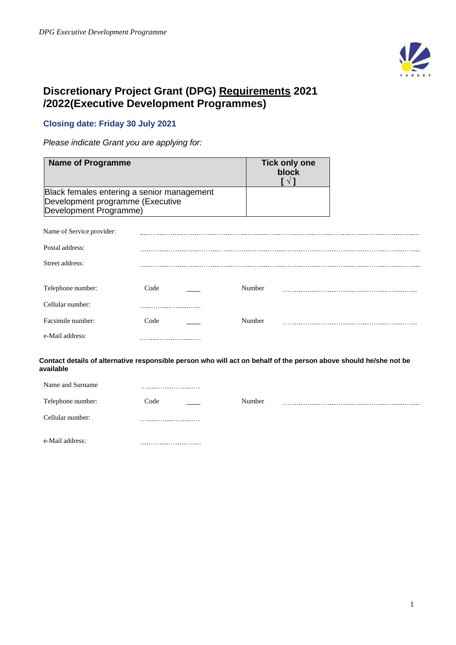

# **Discretionary Project Grant (DPG) Requirements 2021 /2022(Executive Development Programmes)**

---------------------------

# **Closing date: Friday 30 July 2021**

*Please indicate Grant you are applying for:*

| <b>Name of Programme</b>                                   |                                            | <b>Tick only one</b><br>block<br>$\lceil \sqrt{1} \rceil$                                                         |  |
|------------------------------------------------------------|--------------------------------------------|-------------------------------------------------------------------------------------------------------------------|--|
| Development programme (Executive<br>Development Programme) | Black females entering a senior management |                                                                                                                   |  |
| Name of Service provider:                                  |                                            |                                                                                                                   |  |
| Postal address:                                            |                                            |                                                                                                                   |  |
| Street address:                                            |                                            |                                                                                                                   |  |
| Telephone number:<br>Cellular number:                      | Code                                       | Number                                                                                                            |  |
| Facsimile number:                                          | Code                                       | Number                                                                                                            |  |
| e-Mail address:                                            |                                            |                                                                                                                   |  |
| available                                                  |                                            | Contact details of alternative responsible person who will act on behalf of the person above should he/she not be |  |
| Name and Surname                                           |                                            |                                                                                                                   |  |
| Telephone number:                                          | Code                                       | Number                                                                                                            |  |
| Cellular number:                                           |                                            |                                                                                                                   |  |

e-Mail address: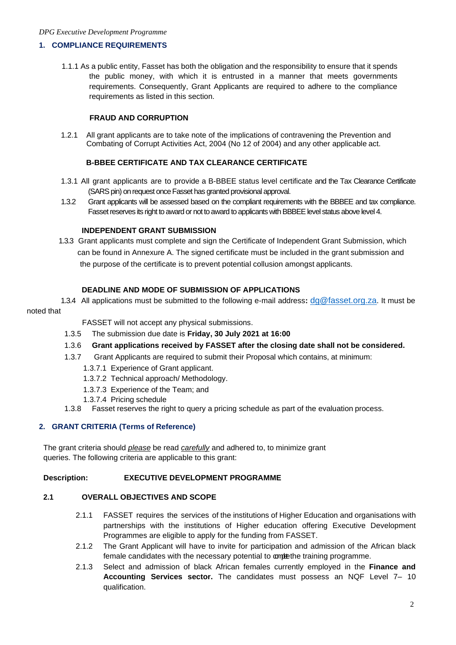#### *DPG Executive Development Programme*

### **1. COMPLIANCE REQUIREMENTS**

1.1.1 As a public entity, Fasset has both the obligation and the responsibility to ensure that it spends the public money, with which it is entrusted in a manner that meets governments requirements. Consequently, Grant Applicants are required to adhere to the compliance requirements as listed in this section.

### **FRAUD AND CORRUPTION**

1.2.1 All grant applicants are to take note of the implications of contravening the Prevention and Combating of Corrupt Activities Act, 2004 (No 12 of 2004) and any other applicable act.

# **B-BBEE CERTIFICATE AND TAX CLEARANCE CERTIFICATE**

- 1.3.1 All grant applicants are to provide a B-BBEE status level certificate and the Tax Clearance Certificate (SARS pin) on request once Fasset has granted provisional approval.
- 1.3.2 Grant applicants will be assessed based on the compliant requirements with the BBBEE and tax compliance. Fasset reserves its right to award or not to award to applicants with BBBEE level status above level 4.

### **INDEPENDENT GRANT SUBMISSION**

 1.3.3 Grant applicants must complete and sign the Certificate of Independent Grant Submission, which can be found in Annexure A. The signed certificate must be included in the grant submission and the purpose of the certificate is to prevent potential collusion amongst applicants.

### **DEADLINE AND MODE OF SUBMISSION OF APPLICATIONS**

 1.3.4 All applications must be submitted to the following e-mail address**:** [dg@fasset.org.za](mailto:dg@fasset.org.za). It must be noted that

### FASSET will not accept any physical submissions.

- 1.3.5 The submission due date is **Friday, 30 July 2021 at 16:00**
- 1.3.6 **Grant applications received by FASSET after the closing date shall not be considered.**
- 1.3.7 Grant Applicants are required to submit their Proposal which contains, at minimum:
	- 1.3.7.1 Experience of Grant applicant.
	- 1.3.7.2 Technical approach/ Methodology.
	- 1.3.7.3 Experience of the Team; and
	- 1.3.7.4 Pricing schedule
- 1.3.8 Fasset reserves the right to query a pricing schedule as part of the evaluation process.

# **2. GRANT CRITERIA (Terms of Reference)**

The grant criteria should *please* be read *carefully* and adhered to, to minimize grant queries. The following criteria are applicable to this grant:

### **Description: EXECUTIVE DEVELOPMENT PROGRAMME**

### **2.1 OVERALL OBJECTIVES AND SCOPE**

- 2.1.1 FASSET requires the services of the institutions of Higher Education and organisations with partnerships with the institutions of Higher education offering Executive Development Programmes are eligible to apply for the funding from FASSET.
- 2.1.2 The Grant Applicant will have to invite for participation and admission of the African black female candidates with the necessary potential to complethe training programme.
- 2.1.3 Select and admission of black African females currently employed in the **Finance and Accounting Services sector.** The candidates must possess an NQF Level 7– 10 qualification.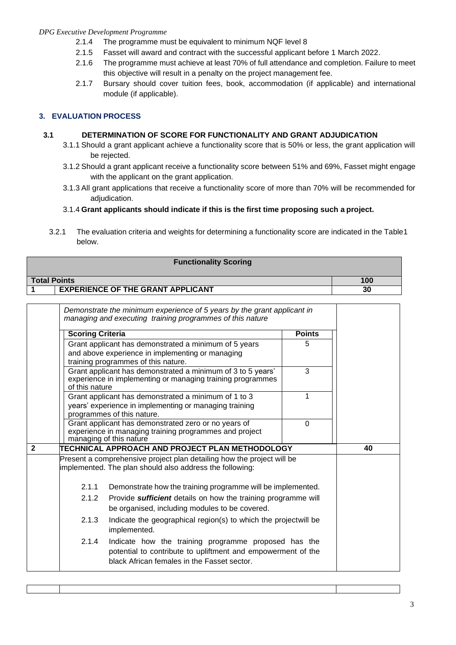# *DPG Executive Development Programme*

- 2.1.4 The programme must be equivalent to minimum NQF level 8
- 2.1.5 Fasset will award and contract with the successful applicant before 1 March 2022.
- 2.1.6 The programme must achieve at least 70% of full attendance and completion. Failure to meet this objective will result in a penalty on the project management fee.
- 2.1.7 Bursary should cover tuition fees, book, accommodation (if applicable) and international module (if applicable).

# **3. EVALUATION PROCESS**

# **3.1 DETERMINATION OF SCORE FOR FUNCTIONALITY AND GRANT ADJUDICATION**

- 3.1.1 Should a grant applicant achieve a functionality score that is 50% or less, the grant application will be rejected.
- 3.1.2 Should a grant applicant receive a functionality score between 51% and 69%, Fasset might engage with the applicant on the grant application.
- 3.1.3 All grant applications that receive a functionality score of more than 70% will be recommended for adjudication.

# 3.1.4 **Grant applicants should indicate if this is the first time proposing such a project.**

3.2.1 The evaluation criteria and weights for determining a functionality score are indicated in the Table1 below.

| <b>Functionality Scoring</b>             |    |  |
|------------------------------------------|----|--|
| <b>Total Points</b><br>100               |    |  |
| <b>EXPERIENCE OF THE GRANT APPLICANT</b> | 30 |  |

|                | Demonstrate the minimum experience of 5 years by the grant applicant in<br>managing and executing training programmes of this nature |                                                                                                                                                                     |               |    |  |
|----------------|--------------------------------------------------------------------------------------------------------------------------------------|---------------------------------------------------------------------------------------------------------------------------------------------------------------------|---------------|----|--|
|                | <b>Scoring Criteria</b>                                                                                                              |                                                                                                                                                                     | <b>Points</b> |    |  |
|                |                                                                                                                                      | Grant applicant has demonstrated a minimum of 5 years<br>and above experience in implementing or managing<br>training programmes of this nature.                    | 5             |    |  |
|                | of this nature                                                                                                                       | Grant applicant has demonstrated a minimum of 3 to 5 years'<br>experience in implementing or managing training programmes                                           | 3             |    |  |
|                |                                                                                                                                      | Grant applicant has demonstrated a minimum of 1 to 3<br>years' experience in implementing or managing training<br>programmes of this nature.                        | 1             |    |  |
|                |                                                                                                                                      | Grant applicant has demonstrated zero or no years of<br>experience in managing training programmes and project<br>managing of this nature                           | $\Omega$      |    |  |
| $\overline{2}$ |                                                                                                                                      | TECHNICAL APPROACH AND PROJECT PLAN METHODOLOGY                                                                                                                     |               | 40 |  |
|                |                                                                                                                                      | Present a comprehensive project plan detailing how the project will be<br>implemented. The plan should also address the following:                                  |               |    |  |
|                | 2.1.1                                                                                                                                | Demonstrate how the training programme will be implemented.                                                                                                         |               |    |  |
|                | 2.1.2<br>Provide sufficient details on how the training programme will<br>be organised, including modules to be covered.             |                                                                                                                                                                     |               |    |  |
|                | 2.1.3                                                                                                                                | Indicate the geographical region(s) to which the projectwill be<br>implemented.                                                                                     |               |    |  |
|                | 2.1.4                                                                                                                                | Indicate how the training programme proposed has the<br>potential to contribute to upliftment and empowerment of the<br>black African females in the Fasset sector. |               |    |  |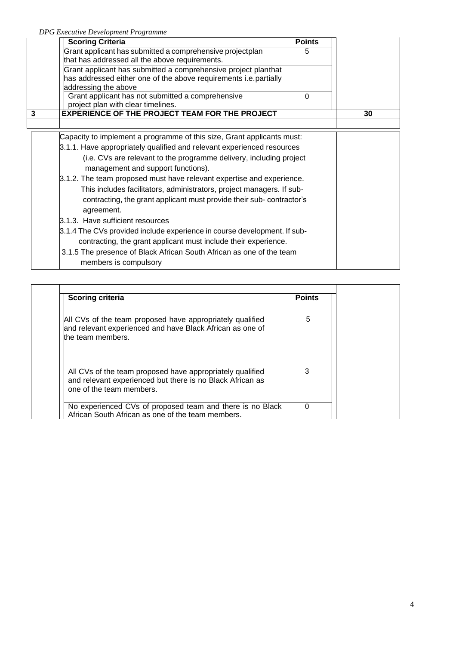*DPG Executive Development Programme*

| <b>Scoring Criteria</b>                                                                                                                                                                                                                                                                                                                                                                                                                                                                                                                                                                                                                                                                                                                                                                   | <b>Points</b> |    |
|-------------------------------------------------------------------------------------------------------------------------------------------------------------------------------------------------------------------------------------------------------------------------------------------------------------------------------------------------------------------------------------------------------------------------------------------------------------------------------------------------------------------------------------------------------------------------------------------------------------------------------------------------------------------------------------------------------------------------------------------------------------------------------------------|---------------|----|
| Grant applicant has submitted a comprehensive projectplan<br>that has addressed all the above requirements.                                                                                                                                                                                                                                                                                                                                                                                                                                                                                                                                                                                                                                                                               | 5             |    |
| Grant applicant has submitted a comprehensive project planthat<br>has addressed either one of the above requirements i.e. partially<br>addressing the above                                                                                                                                                                                                                                                                                                                                                                                                                                                                                                                                                                                                                               |               |    |
| Grant applicant has not submitted a comprehensive<br>project plan with clear timelines.                                                                                                                                                                                                                                                                                                                                                                                                                                                                                                                                                                                                                                                                                                   | 0             |    |
| <b>EXPERIENCE OF THE PROJECT TEAM FOR THE PROJECT</b><br>3                                                                                                                                                                                                                                                                                                                                                                                                                                                                                                                                                                                                                                                                                                                                |               | 30 |
|                                                                                                                                                                                                                                                                                                                                                                                                                                                                                                                                                                                                                                                                                                                                                                                           |               |    |
| Capacity to implement a programme of this size, Grant applicants must:<br>3.1.1. Have appropriately qualified and relevant experienced resources<br>(i.e. CVs are relevant to the programme delivery, including project<br>management and support functions).<br>3.1.2. The team proposed must have relevant expertise and experience.<br>This includes facilitators, administrators, project managers. If sub-<br>contracting, the grant applicant must provide their sub-contractor's<br>agreement.<br>3.1.3. Have sufficient resources<br>3.1.4 The CVs provided include experience in course development. If sub-<br>contracting, the grant applicant must include their experience.<br>3.1.5 The presence of Black African South African as one of the team<br>members is compulsory |               |    |

| <b>Scoring criteria</b>                                                                                                                            | <b>Points</b> |
|----------------------------------------------------------------------------------------------------------------------------------------------------|---------------|
| All CVs of the team proposed have appropriately qualified<br>and relevant experienced and have Black African as one of<br>the team members.        | 5             |
| All CVs of the team proposed have appropriately qualified<br>and relevant experienced but there is no Black African as<br>one of the team members. |               |
| No experienced CVs of proposed team and there is no Black<br>African South African as one of the team members.                                     |               |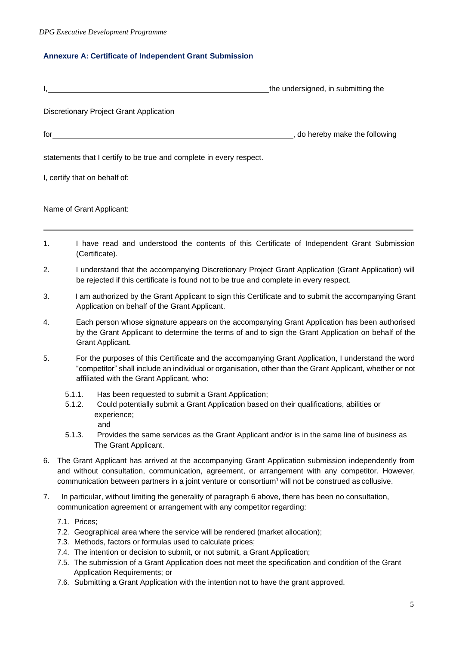# **Annexure A: Certificate of Independent Grant Submission**

|    |                                                                                                                                                                                               | the undersigned, in submitting the |  |
|----|-----------------------------------------------------------------------------------------------------------------------------------------------------------------------------------------------|------------------------------------|--|
|    | <b>Discretionary Project Grant Application</b>                                                                                                                                                |                                    |  |
|    | $for \underline{\hspace{1cm}}$                                                                                                                                                                |                                    |  |
|    | statements that I certify to be true and complete in every respect.                                                                                                                           |                                    |  |
|    | I, certify that on behalf of:                                                                                                                                                                 |                                    |  |
|    | Name of Grant Applicant:                                                                                                                                                                      |                                    |  |
| 1. | I have read and understood the contents of this Certificate of Independent Grant Submission<br>(Certificate).                                                                                 |                                    |  |
| 2. | I understand that the accompanying Discretionary Project Grant Application (Grant Application) will<br>be rejected if this certificate is found not to be true and complete in every respect. |                                    |  |

- 3. I am authorized by the Grant Applicant to sign this Certificate and to submit the accompanying Grant Application on behalf of the Grant Applicant.
- 4. Each person whose signature appears on the accompanying Grant Application has been authorised by the Grant Applicant to determine the terms of and to sign the Grant Application on behalf of the Grant Applicant.
- 5. For the purposes of this Certificate and the accompanying Grant Application, I understand the word "competitor" shall include an individual or organisation, other than the Grant Applicant, whether or not affiliated with the Grant Applicant, who:
	- 5.1.1. Has been requested to submit a Grant Application;
	- 5.1.2. Could potentially submit a Grant Application based on their qualifications, abilities or experience; and
	- 5.1.3. Provides the same services as the Grant Applicant and/or is in the same line of business as The Grant Applicant.
- 6. The Grant Applicant has arrived at the accompanying Grant Application submission independently from and without consultation, communication, agreement, or arrangement with any competitor. However, communication between partners in a joint venture or consortium<sup>1</sup> will not be construed as collusive.
- 7. In particular, without limiting the generality of paragraph 6 above, there has been no consultation, communication agreement or arrangement with any competitor regarding:
	- 7.1. Prices;
	- 7.2. Geographical area where the service will be rendered (market allocation);
	- 7.3. Methods, factors or formulas used to calculate prices;
	- 7.4. The intention or decision to submit, or not submit, a Grant Application;
	- 7.5. The submission of a Grant Application does not meet the specification and condition of the Grant Application Requirements; or
	- 7.6. Submitting a Grant Application with the intention not to have the grant approved.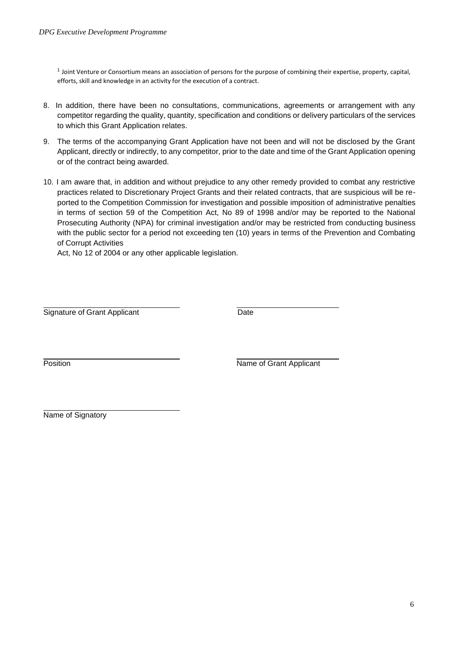1 Joint Venture or Consortium means an association of persons for the purpose of combining their expertise, property, capital, efforts, skill and knowledge in an activity for the execution of a contract.

- 8. In addition, there have been no consultations, communications, agreements or arrangement with any competitor regarding the quality, quantity, specification and conditions or delivery particulars of the services to which this Grant Application relates.
- 9. The terms of the accompanying Grant Application have not been and will not be disclosed by the Grant Applicant, directly or indirectly, to any competitor, prior to the date and time of the Grant Application opening or of the contract being awarded.
- 10. I am aware that, in addition and without prejudice to any other remedy provided to combat any restrictive practices related to Discretionary Project Grants and their related contracts, that are suspicious will be reported to the Competition Commission for investigation and possible imposition of administrative penalties in terms of section 59 of the Competition Act, No 89 of 1998 and/or may be reported to the National Prosecuting Authority (NPA) for criminal investigation and/or may be restricted from conducting business with the public sector for a period not exceeding ten (10) years in terms of the Prevention and Combating of Corrupt Activities

Act, No 12 of 2004 or any other applicable legislation.

Signature of Grant Applicant Date

Position **Name of Grant Applicant** 

Name of Signatory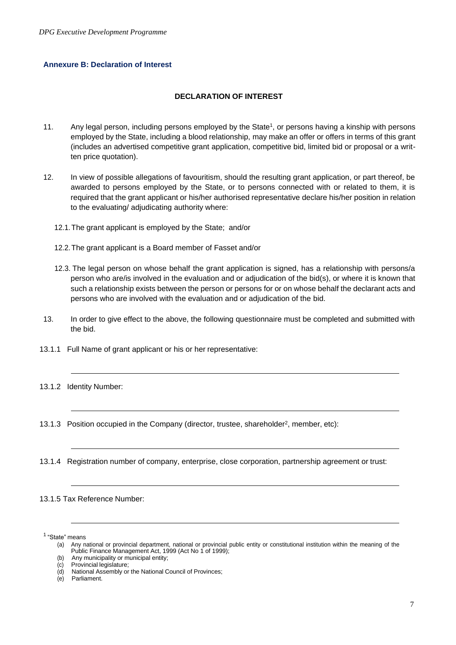### **Annexure B: Declaration of Interest**

### **DECLARATION OF INTEREST**

- 11. Any legal person, including persons employed by the State<sup>1</sup>, or persons having a kinship with persons employed by the State, including a blood relationship, may make an offer or offers in terms of this grant (includes an advertised competitive grant application, competitive bid, limited bid or proposal or a written price quotation).
- 12. In view of possible allegations of favouritism, should the resulting grant application, or part thereof, be awarded to persons employed by the State, or to persons connected with or related to them, it is required that the grant applicant or his/her authorised representative declare his/her position in relation to the evaluating/ adjudicating authority where:
	- 12.1.The grant applicant is employed by the State; and/or
	- 12.2.The grant applicant is a Board member of Fasset and/or
	- 12.3. The legal person on whose behalf the grant application is signed, has a relationship with persons/a person who are/is involved in the evaluation and or adjudication of the bid(s), or where it is known that such a relationship exists between the person or persons for or on whose behalf the declarant acts and persons who are involved with the evaluation and or adjudication of the bid.
- 13. In order to give effect to the above, the following questionnaire must be completed and submitted with the bid.
- 13.1.1 Full Name of grant applicant or his or her representative:
- 13.1.2 Identity Number:
- 13.1.3 Position occupied in the Company (director, trustee, shareholder<sup>2</sup>, member, etc):
- 13.1.4 Registration number of company, enterprise, close corporation, partnership agreement or trust:

### 13.1.5 Tax Reference Number:

<sup>1</sup> "State" means

<sup>(</sup>a) Any national or provincial department, national or provincial public entity or constitutional institution within the meaning of the Public Finance Management Act, 1999 (Act No 1 of 1999);

<sup>(</sup>b) Any municipality or municipal entity;

<sup>(</sup>c) Provincial legislature;

<sup>(</sup>d) National Assembly or the National Council of Provinces;

Parliament.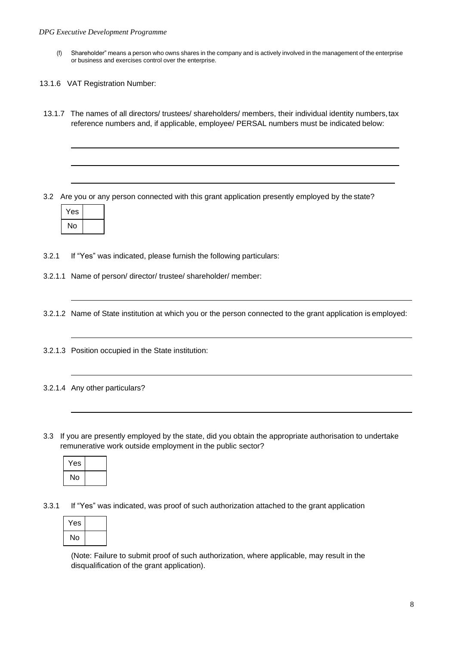- (f) Shareholder" means a person who owns shares in the company and is actively involved in the management of the enterprise or business and exercises control over the enterprise.
- 13.1.6 VAT Registration Number:
- 13.1.7 The names of all directors/ trustees/ shareholders/ members, their individual identity numbers,tax reference numbers and, if applicable, employee/ PERSAL numbers must be indicated below:

3.2 Are you or any person connected with this grant application presently employed by the state?



3.2.1 If "Yes" was indicated, please furnish the following particulars:

3.2.1.1 Name of person/ director/ trustee/ shareholder/ member:

3.2.1.2 Name of State institution at which you or the person connected to the grant application is employed:

3.2.1.3 Position occupied in the State institution:

# 3.2.1.4 Any other particulars?

3.3 If you are presently employed by the state, did you obtain the appropriate authorisation to undertake remunerative work outside employment in the public sector?



3.3.1 If "Yes" was indicated, was proof of such authorization attached to the grant application

| Yes |  |
|-----|--|
| No  |  |

(Note: Failure to submit proof of such authorization, where applicable, may result in the disqualification of the grant application).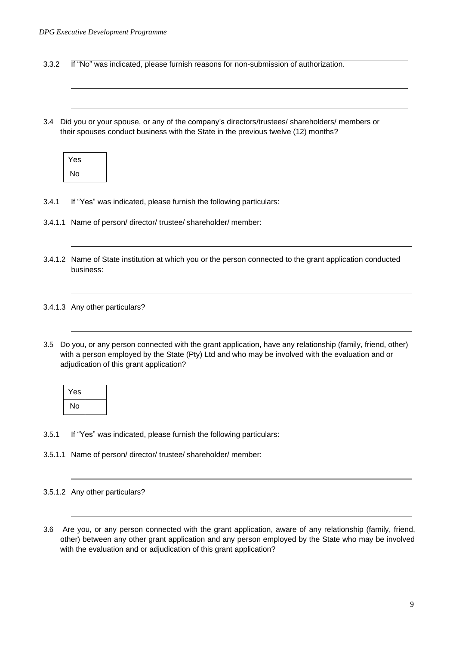3.3.2 If "No" was indicated, please furnish reasons for non-submission of authorization.

3.4 Did you or your spouse, or any of the company's directors/trustees/ shareholders/ members or their spouses conduct business with the State in the previous twelve (12) months?

| Yes |  |
|-----|--|
| No  |  |

- 3.4.1 If "Yes" was indicated, please furnish the following particulars:
- 3.4.1.1 Name of person/ director/ trustee/ shareholder/ member:
- 3.4.1.2 Name of State institution at which you or the person connected to the grant application conducted business:

### 3.4.1.3 Any other particulars?

3.5 Do you, or any person connected with the grant application, have any relationship (family, friend, other) with a person employed by the State (Pty) Ltd and who may be involved with the evaluation and or adjudication of this grant application?

| Yes |  |
|-----|--|
| No  |  |

- 3.5.1 If "Yes" was indicated, please furnish the following particulars:
- 3.5.1.1 Name of person/ director/ trustee/ shareholder/ member:
- 3.5.1.2 Any other particulars?
- 3.6 Are you, or any person connected with the grant application, aware of any relationship (family, friend, other) between any other grant application and any person employed by the State who may be involved with the evaluation and or adjudication of this grant application?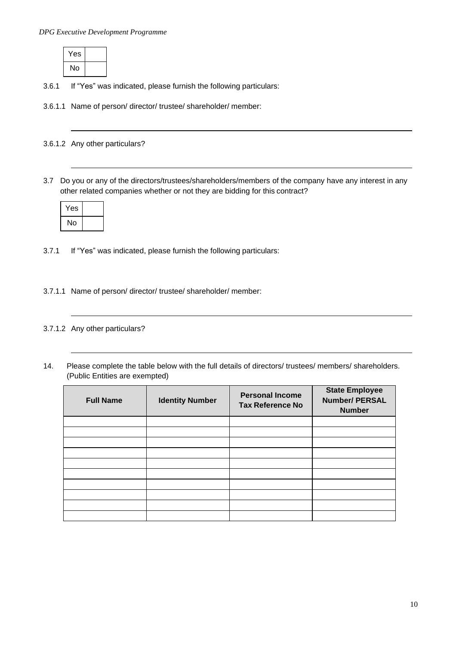| Yes |  |
|-----|--|
| No  |  |

- 3.6.1 If "Yes" was indicated, please furnish the following particulars:
- 3.6.1.1 Name of person/ director/ trustee/ shareholder/ member:

3.6.1.2 Any other particulars?

3.7 Do you or any of the directors/trustees/shareholders/members of the company have any interest in any other related companies whether or not they are bidding for this contract?

| Yes |  |
|-----|--|
| No  |  |

- 3.7.1 If "Yes" was indicated, please furnish the following particulars:
- 3.7.1.1 Name of person/ director/ trustee/ shareholder/ member:

# 3.7.1.2 Any other particulars?

14. Please complete the table below with the full details of directors/ trustees/ members/ shareholders. (Public Entities are exempted)

| <b>Full Name</b> | <b>Identity Number</b> | <b>Personal Income</b><br><b>Tax Reference No</b> | <b>State Employee</b><br><b>Number/ PERSAL</b><br><b>Number</b> |
|------------------|------------------------|---------------------------------------------------|-----------------------------------------------------------------|
|                  |                        |                                                   |                                                                 |
|                  |                        |                                                   |                                                                 |
|                  |                        |                                                   |                                                                 |
|                  |                        |                                                   |                                                                 |
|                  |                        |                                                   |                                                                 |
|                  |                        |                                                   |                                                                 |
|                  |                        |                                                   |                                                                 |
|                  |                        |                                                   |                                                                 |
|                  |                        |                                                   |                                                                 |
|                  |                        |                                                   |                                                                 |